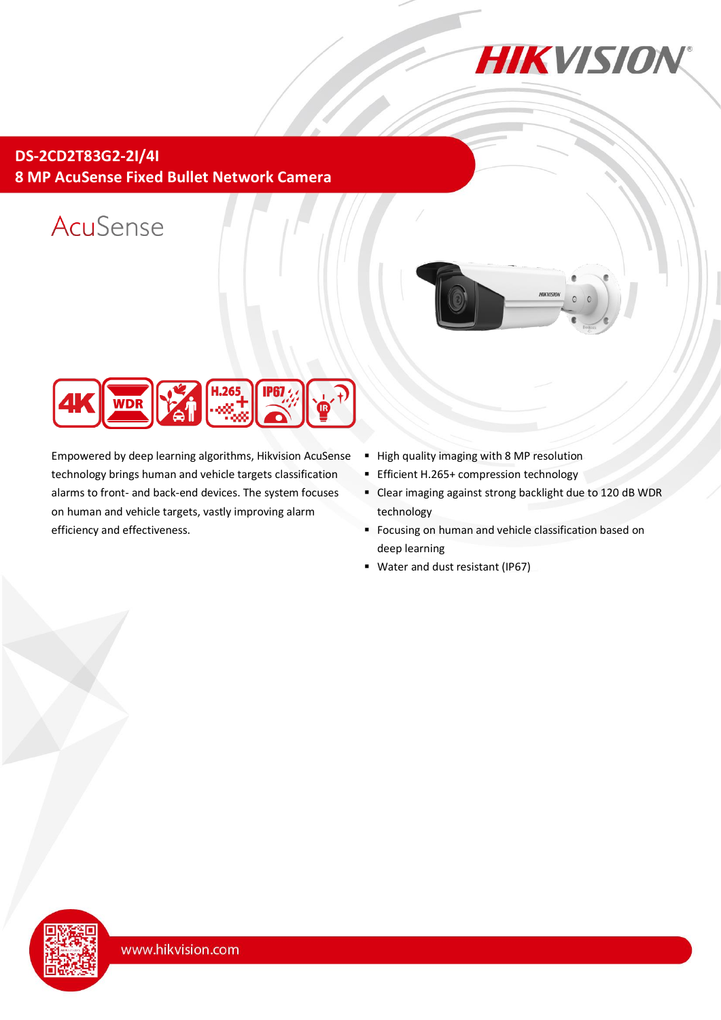

**DS-2CD2T83G2-2I/4I 8 MP AcuSense Fixed Bullet Network Camera**

# AcuSense





Empowered by deep learning algorithms, Hikvision AcuSense technology brings human and vehicle targets classification alarms to front- and back-end devices. The system focuses on human and vehicle targets, vastly improving alarm efficiency and effectiveness.

- High quality imaging with 8 MP resolution
- **Efficient H.265+ compression technology**
- Clear imaging against strong backlight due to 120 dB WDR technology
- **Focusing on human and vehicle classification based on** deep learning
- Water and dust resistant (IP67)

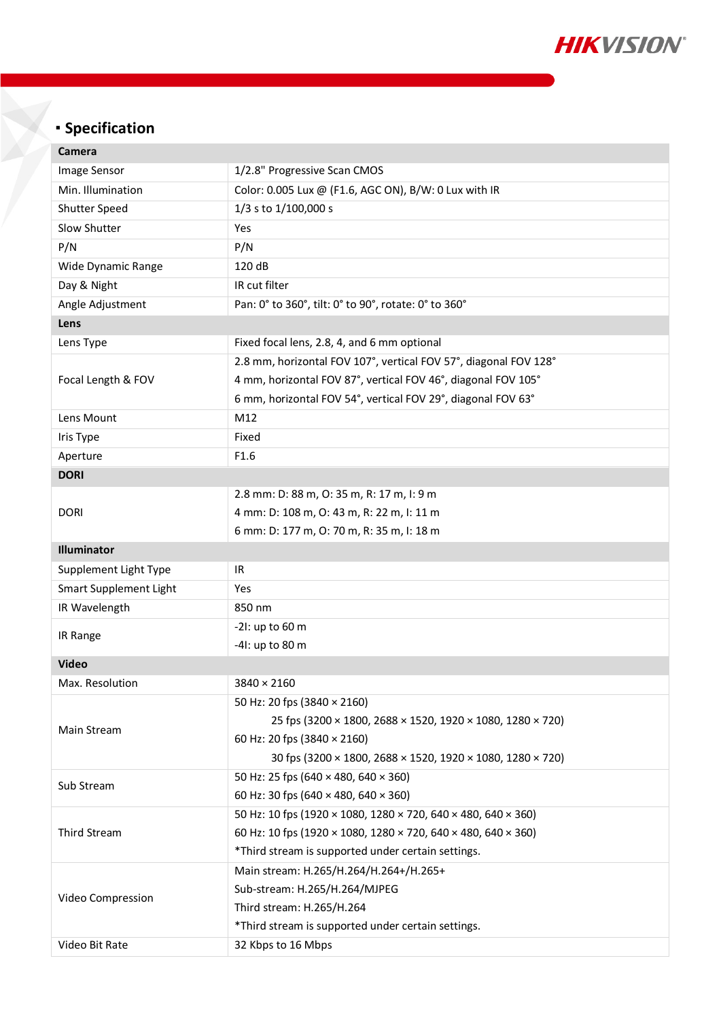

## **Specification**

| Camera                        |                                                                  |  |  |  |  |  |
|-------------------------------|------------------------------------------------------------------|--|--|--|--|--|
| Image Sensor                  | 1/2.8" Progressive Scan CMOS                                     |  |  |  |  |  |
| Min. Illumination             | Color: 0.005 Lux @ (F1.6, AGC ON), B/W: 0 Lux with IR            |  |  |  |  |  |
| <b>Shutter Speed</b>          | 1/3 s to 1/100,000 s                                             |  |  |  |  |  |
| Slow Shutter                  | Yes                                                              |  |  |  |  |  |
| P/N                           | P/N                                                              |  |  |  |  |  |
| Wide Dynamic Range            | 120 dB                                                           |  |  |  |  |  |
| Day & Night                   | IR cut filter                                                    |  |  |  |  |  |
| Angle Adjustment              | Pan: 0° to 360°, tilt: 0° to 90°, rotate: 0° to 360°             |  |  |  |  |  |
| Lens                          |                                                                  |  |  |  |  |  |
| Lens Type                     | Fixed focal lens, 2.8, 4, and 6 mm optional                      |  |  |  |  |  |
|                               | 2.8 mm, horizontal FOV 107°, vertical FOV 57°, diagonal FOV 128° |  |  |  |  |  |
| Focal Length & FOV            | 4 mm, horizontal FOV 87°, vertical FOV 46°, diagonal FOV 105°    |  |  |  |  |  |
|                               | 6 mm, horizontal FOV 54°, vertical FOV 29°, diagonal FOV 63°     |  |  |  |  |  |
| Lens Mount                    | M12                                                              |  |  |  |  |  |
| Iris Type                     | Fixed                                                            |  |  |  |  |  |
| Aperture                      | F1.6                                                             |  |  |  |  |  |
| <b>DORI</b>                   |                                                                  |  |  |  |  |  |
|                               | 2.8 mm: D: 88 m, O: 35 m, R: 17 m, I: 9 m                        |  |  |  |  |  |
| <b>DORI</b>                   | 4 mm: D: 108 m, O: 43 m, R: 22 m, I: 11 m                        |  |  |  |  |  |
|                               | 6 mm: D: 177 m, O: 70 m, R: 35 m, I: 18 m                        |  |  |  |  |  |
| Illuminator                   |                                                                  |  |  |  |  |  |
| Supplement Light Type         | IR                                                               |  |  |  |  |  |
| <b>Smart Supplement Light</b> | Yes                                                              |  |  |  |  |  |
| IR Wavelength                 | 850 nm                                                           |  |  |  |  |  |
| IR Range                      | $-21:$ up to 60 m                                                |  |  |  |  |  |
|                               | -41: up to 80 m                                                  |  |  |  |  |  |
| <b>Video</b>                  |                                                                  |  |  |  |  |  |
| Max. Resolution               | 3840 × 2160                                                      |  |  |  |  |  |
| Main Stream                   | 50 Hz: 20 fps (3840 × 2160)                                      |  |  |  |  |  |
|                               | 25 fps (3200 × 1800, 2688 × 1520, 1920 × 1080, 1280 × 720)       |  |  |  |  |  |
|                               | 60 Hz: 20 fps (3840 × 2160)                                      |  |  |  |  |  |
|                               | 30 fps (3200 × 1800, 2688 × 1520, 1920 × 1080, 1280 × 720)       |  |  |  |  |  |
| Sub Stream                    | 50 Hz: 25 fps (640 × 480, 640 × 360)                             |  |  |  |  |  |
|                               | 60 Hz: 30 fps (640 × 480, 640 × 360)                             |  |  |  |  |  |
| Third Stream                  | 50 Hz: 10 fps (1920 × 1080, 1280 × 720, 640 × 480, 640 × 360)    |  |  |  |  |  |
|                               | 60 Hz: 10 fps (1920 × 1080, 1280 × 720, 640 × 480, 640 × 360)    |  |  |  |  |  |
|                               | *Third stream is supported under certain settings.               |  |  |  |  |  |
| Video Compression             | Main stream: H.265/H.264/H.264+/H.265+                           |  |  |  |  |  |
|                               | Sub-stream: H.265/H.264/MJPEG                                    |  |  |  |  |  |
|                               | Third stream: H.265/H.264                                        |  |  |  |  |  |
|                               | *Third stream is supported under certain settings.               |  |  |  |  |  |
| Video Bit Rate                | 32 Kbps to 16 Mbps                                               |  |  |  |  |  |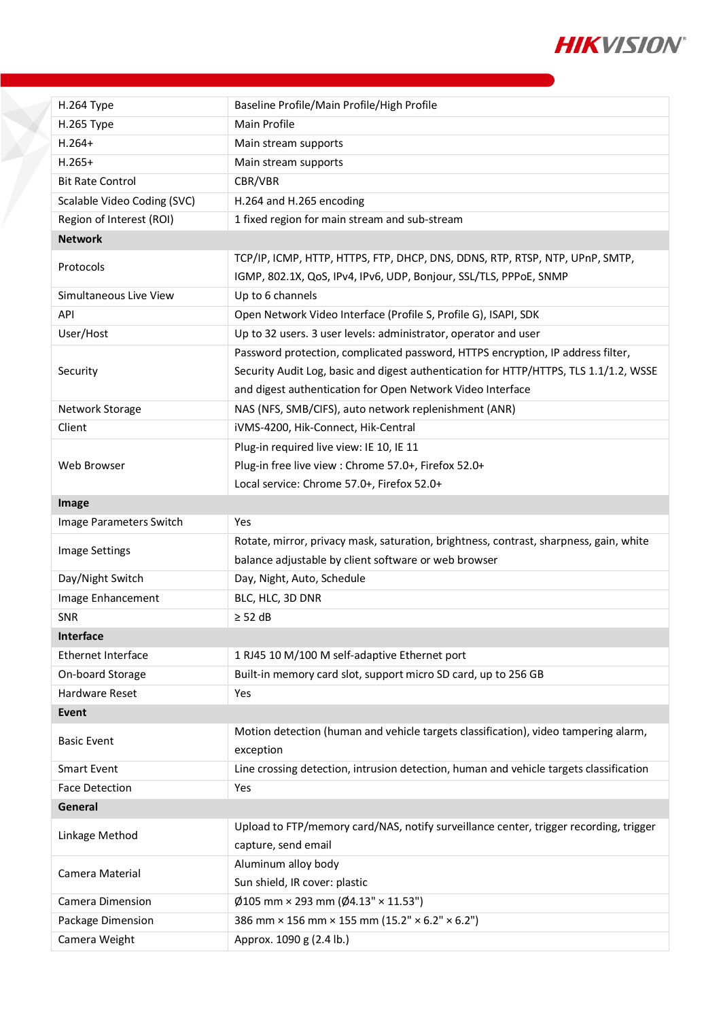

| H.264 Type                  | Baseline Profile/Main Profile/High Profile                                                                                                                                                                                             |  |  |  |  |
|-----------------------------|----------------------------------------------------------------------------------------------------------------------------------------------------------------------------------------------------------------------------------------|--|--|--|--|
| H.265 Type                  | Main Profile                                                                                                                                                                                                                           |  |  |  |  |
| $H.264+$                    | Main stream supports                                                                                                                                                                                                                   |  |  |  |  |
| $H.265+$                    | Main stream supports                                                                                                                                                                                                                   |  |  |  |  |
| <b>Bit Rate Control</b>     | CBR/VBR                                                                                                                                                                                                                                |  |  |  |  |
| Scalable Video Coding (SVC) | H.264 and H.265 encoding                                                                                                                                                                                                               |  |  |  |  |
| Region of Interest (ROI)    | 1 fixed region for main stream and sub-stream                                                                                                                                                                                          |  |  |  |  |
| <b>Network</b>              |                                                                                                                                                                                                                                        |  |  |  |  |
| Protocols                   | TCP/IP, ICMP, HTTP, HTTPS, FTP, DHCP, DNS, DDNS, RTP, RTSP, NTP, UPnP, SMTP,<br>IGMP, 802.1X, QoS, IPv4, IPv6, UDP, Bonjour, SSL/TLS, PPPoE, SNMP                                                                                      |  |  |  |  |
| Simultaneous Live View      | Up to 6 channels                                                                                                                                                                                                                       |  |  |  |  |
| <b>API</b>                  | Open Network Video Interface (Profile S, Profile G), ISAPI, SDK                                                                                                                                                                        |  |  |  |  |
| User/Host                   | Up to 32 users. 3 user levels: administrator, operator and user                                                                                                                                                                        |  |  |  |  |
| Security                    | Password protection, complicated password, HTTPS encryption, IP address filter,<br>Security Audit Log, basic and digest authentication for HTTP/HTTPS, TLS 1.1/1.2, WSSE<br>and digest authentication for Open Network Video Interface |  |  |  |  |
| Network Storage             | NAS (NFS, SMB/CIFS), auto network replenishment (ANR)                                                                                                                                                                                  |  |  |  |  |
| Client                      | iVMS-4200, Hik-Connect, Hik-Central                                                                                                                                                                                                    |  |  |  |  |
|                             | Plug-in required live view: IE 10, IE 11                                                                                                                                                                                               |  |  |  |  |
| Web Browser                 | Plug-in free live view : Chrome 57.0+, Firefox 52.0+                                                                                                                                                                                   |  |  |  |  |
|                             | Local service: Chrome 57.0+, Firefox 52.0+                                                                                                                                                                                             |  |  |  |  |
| Image                       |                                                                                                                                                                                                                                        |  |  |  |  |
| Image Parameters Switch     | Yes                                                                                                                                                                                                                                    |  |  |  |  |
| <b>Image Settings</b>       | Rotate, mirror, privacy mask, saturation, brightness, contrast, sharpness, gain, white<br>balance adjustable by client software or web browser                                                                                         |  |  |  |  |
| Day/Night Switch            | Day, Night, Auto, Schedule                                                                                                                                                                                                             |  |  |  |  |
| Image Enhancement           | BLC, HLC, 3D DNR                                                                                                                                                                                                                       |  |  |  |  |
| <b>SNR</b>                  | $\geq$ 52 dB                                                                                                                                                                                                                           |  |  |  |  |
| <b>Interface</b>            |                                                                                                                                                                                                                                        |  |  |  |  |
| Ethernet Interface          | 1 RJ45 10 M/100 M self-adaptive Ethernet port                                                                                                                                                                                          |  |  |  |  |
| On-board Storage            | Built-in memory card slot, support micro SD card, up to 256 GB                                                                                                                                                                         |  |  |  |  |
| Hardware Reset              | Yes                                                                                                                                                                                                                                    |  |  |  |  |
| <b>Event</b>                |                                                                                                                                                                                                                                        |  |  |  |  |
| <b>Basic Event</b>          | Motion detection (human and vehicle targets classification), video tampering alarm,<br>exception                                                                                                                                       |  |  |  |  |
| <b>Smart Event</b>          | Line crossing detection, intrusion detection, human and vehicle targets classification                                                                                                                                                 |  |  |  |  |
| <b>Face Detection</b>       | Yes                                                                                                                                                                                                                                    |  |  |  |  |
| General                     |                                                                                                                                                                                                                                        |  |  |  |  |
| Linkage Method              | Upload to FTP/memory card/NAS, notify surveillance center, trigger recording, trigger<br>capture, send email                                                                                                                           |  |  |  |  |
| Camera Material             | Aluminum alloy body<br>Sun shield, IR cover: plastic                                                                                                                                                                                   |  |  |  |  |
| Camera Dimension            | $\emptyset$ 105 mm × 293 mm ( $\emptyset$ 4.13" × 11.53")                                                                                                                                                                              |  |  |  |  |
| Package Dimension           | 386 mm × 156 mm × 155 mm (15.2" × 6.2" × 6.2")                                                                                                                                                                                         |  |  |  |  |
| Camera Weight               | Approx. 1090 g (2.4 lb.)                                                                                                                                                                                                               |  |  |  |  |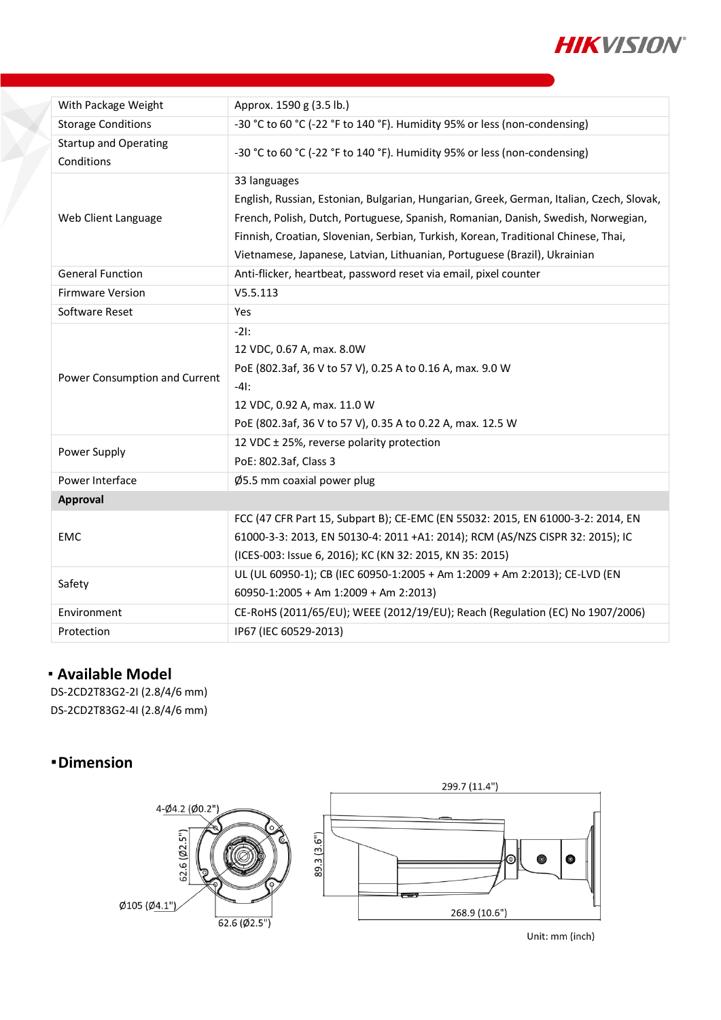

| With Package Weight                        | Approx. 1590 g (3.5 lb.)                                                                                                                                                                                                                                                                                                                                         |  |  |  |  |
|--------------------------------------------|------------------------------------------------------------------------------------------------------------------------------------------------------------------------------------------------------------------------------------------------------------------------------------------------------------------------------------------------------------------|--|--|--|--|
| <b>Storage Conditions</b>                  | -30 °C to 60 °C (-22 °F to 140 °F). Humidity 95% or less (non-condensing)                                                                                                                                                                                                                                                                                        |  |  |  |  |
| <b>Startup and Operating</b><br>Conditions | -30 °C to 60 °C (-22 °F to 140 °F). Humidity 95% or less (non-condensing)                                                                                                                                                                                                                                                                                        |  |  |  |  |
| Web Client Language                        | 33 languages<br>English, Russian, Estonian, Bulgarian, Hungarian, Greek, German, Italian, Czech, Slovak,<br>French, Polish, Dutch, Portuguese, Spanish, Romanian, Danish, Swedish, Norwegian,<br>Finnish, Croatian, Slovenian, Serbian, Turkish, Korean, Traditional Chinese, Thai,<br>Vietnamese, Japanese, Latvian, Lithuanian, Portuguese (Brazil), Ukrainian |  |  |  |  |
| <b>General Function</b>                    | Anti-flicker, heartbeat, password reset via email, pixel counter                                                                                                                                                                                                                                                                                                 |  |  |  |  |
| <b>Firmware Version</b>                    | V5.5.113                                                                                                                                                                                                                                                                                                                                                         |  |  |  |  |
| Software Reset                             | Yes                                                                                                                                                                                                                                                                                                                                                              |  |  |  |  |
| Power Consumption and Current              | $-21$ :<br>12 VDC, 0.67 A, max. 8.0W<br>PoE (802.3af, 36 V to 57 V), 0.25 A to 0.16 A, max. 9.0 W<br>$-41:$<br>12 VDC, 0.92 A, max. 11.0 W<br>PoE (802.3af, 36 V to 57 V), 0.35 A to 0.22 A, max. 12.5 W                                                                                                                                                         |  |  |  |  |
| Power Supply                               | 12 VDC ± 25%, reverse polarity protection<br>PoE: 802.3af, Class 3                                                                                                                                                                                                                                                                                               |  |  |  |  |
| Power Interface                            | Ø5.5 mm coaxial power plug                                                                                                                                                                                                                                                                                                                                       |  |  |  |  |
| Approval                                   |                                                                                                                                                                                                                                                                                                                                                                  |  |  |  |  |
| <b>EMC</b>                                 | FCC (47 CFR Part 15, Subpart B); CE-EMC (EN 55032: 2015, EN 61000-3-2: 2014, EN<br>61000-3-3: 2013, EN 50130-4: 2011 +A1: 2014); RCM (AS/NZS CISPR 32: 2015); IC<br>(ICES-003: Issue 6, 2016); KC (KN 32: 2015, KN 35: 2015)                                                                                                                                     |  |  |  |  |
| Safety                                     | UL (UL 60950-1); CB (IEC 60950-1:2005 + Am 1:2009 + Am 2:2013); CE-LVD (EN<br>60950-1:2005 + Am 1:2009 + Am 2:2013)                                                                                                                                                                                                                                              |  |  |  |  |
| Environment                                | CE-RoHS (2011/65/EU); WEEE (2012/19/EU); Reach (Regulation (EC) No 1907/2006)                                                                                                                                                                                                                                                                                    |  |  |  |  |
| Protection                                 | IP67 (IEC 60529-2013)                                                                                                                                                                                                                                                                                                                                            |  |  |  |  |

## **Available Model**

DS-2CD2T83G2-2I (2.8/4/6 mm) DS-2CD2T83G2-4I (2.8/4/6 mm)

## **Dimension**



Unit: mm (inch)